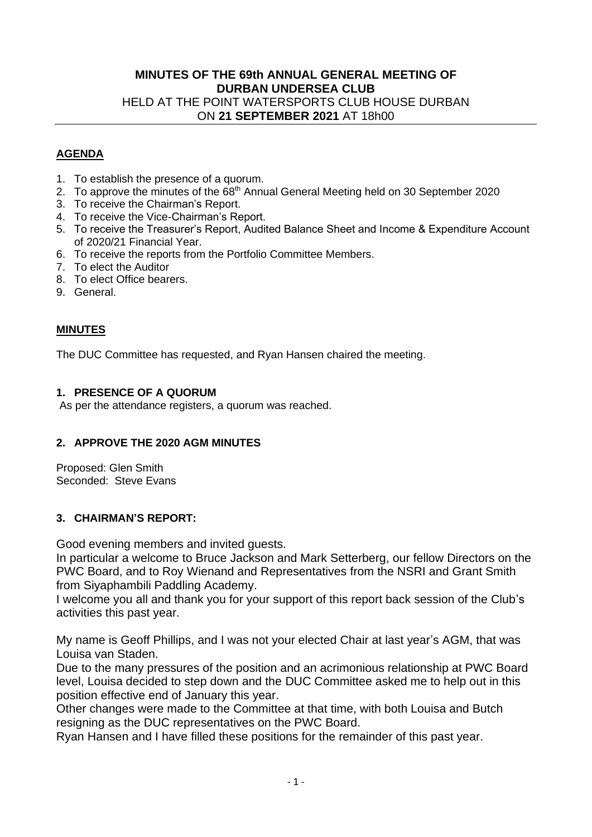# **MINUTES OF THE 69th ANNUAL GENERAL MEETING OF DURBAN UNDERSEA CLUB** HELD AT THE POINT WATERSPORTS CLUB HOUSE DURBAN ON **21 SEPTEMBER 2021** AT 18h00

### **AGENDA**

- 1. To establish the presence of a quorum.
- 2. To approve the minutes of the 68<sup>th</sup> Annual General Meeting held on 30 September 2020
- 3. To receive the Chairman's Report.
- 4. To receive the Vice-Chairman's Report.
- 5. To receive the Treasurer's Report, Audited Balance Sheet and Income & Expenditure Account of 2020/21 Financial Year.
- 6. To receive the reports from the Portfolio Committee Members.
- 7. To elect the Auditor
- 8. To elect Office bearers.
- 9. General.

### **MINUTES**

The DUC Committee has requested, and Ryan Hansen chaired the meeting.

### **1. PRESENCE OF A QUORUM**

As per the attendance registers, a quorum was reached.

### **2. APPROVE THE 2020 AGM MINUTES**

Proposed: Glen Smith Seconded: Steve Evans

### **3. CHAIRMAN'S REPORT:**

Good evening members and invited guests.

In particular a welcome to Bruce Jackson and Mark Setterberg, our fellow Directors on the PWC Board, and to Roy Wienand and Representatives from the NSRI and Grant Smith from Siyaphambili Paddling Academy.

I welcome you all and thank you for your support of this report back session of the Club's activities this past year.

My name is Geoff Phillips, and I was not your elected Chair at last year's AGM, that was Louisa van Staden.

Due to the many pressures of the position and an acrimonious relationship at PWC Board level, Louisa decided to step down and the DUC Committee asked me to help out in this position effective end of January this year.

Other changes were made to the Committee at that time, with both Louisa and Butch resigning as the DUC representatives on the PWC Board.

Ryan Hansen and I have filled these positions for the remainder of this past year.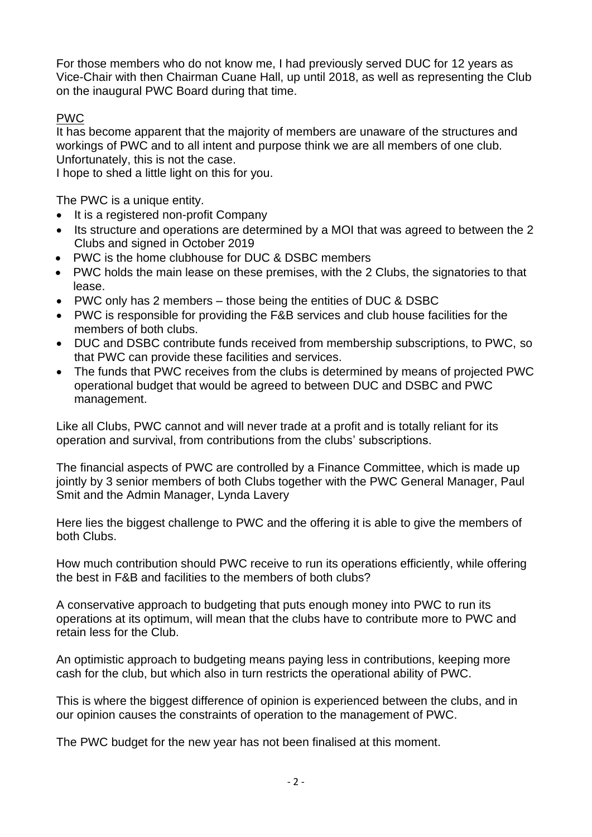For those members who do not know me, I had previously served DUC for 12 years as Vice-Chair with then Chairman Cuane Hall, up until 2018, as well as representing the Club on the inaugural PWC Board during that time.

# PWC

It has become apparent that the majority of members are unaware of the structures and workings of PWC and to all intent and purpose think we are all members of one club. Unfortunately, this is not the case.

I hope to shed a little light on this for you.

The PWC is a unique entity.

- It is a registered non-profit Company
- Its structure and operations are determined by a MOI that was agreed to between the 2 Clubs and signed in October 2019
- PWC is the home clubhouse for DUC & DSBC members
- PWC holds the main lease on these premises, with the 2 Clubs, the signatories to that lease.
- PWC only has 2 members those being the entities of DUC & DSBC
- PWC is responsible for providing the F&B services and club house facilities for the members of both clubs.
- DUC and DSBC contribute funds received from membership subscriptions, to PWC, so that PWC can provide these facilities and services.
- The funds that PWC receives from the clubs is determined by means of projected PWC operational budget that would be agreed to between DUC and DSBC and PWC management.

Like all Clubs, PWC cannot and will never trade at a profit and is totally reliant for its operation and survival, from contributions from the clubs' subscriptions.

The financial aspects of PWC are controlled by a Finance Committee, which is made up jointly by 3 senior members of both Clubs together with the PWC General Manager, Paul Smit and the Admin Manager, Lynda Lavery

Here lies the biggest challenge to PWC and the offering it is able to give the members of both Clubs.

How much contribution should PWC receive to run its operations efficiently, while offering the best in F&B and facilities to the members of both clubs?

A conservative approach to budgeting that puts enough money into PWC to run its operations at its optimum, will mean that the clubs have to contribute more to PWC and retain less for the Club.

An optimistic approach to budgeting means paying less in contributions, keeping more cash for the club, but which also in turn restricts the operational ability of PWC.

This is where the biggest difference of opinion is experienced between the clubs, and in our opinion causes the constraints of operation to the management of PWC.

The PWC budget for the new year has not been finalised at this moment.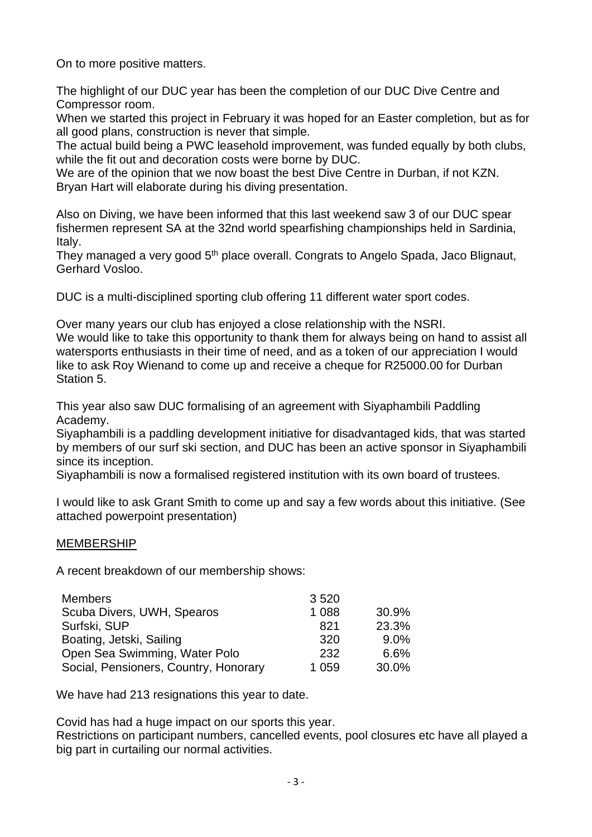On to more positive matters.

The highlight of our DUC year has been the completion of our DUC Dive Centre and Compressor room.

When we started this project in February it was hoped for an Easter completion, but as for all good plans, construction is never that simple.

The actual build being a PWC leasehold improvement, was funded equally by both clubs, while the fit out and decoration costs were borne by DUC.

We are of the opinion that we now boast the best Dive Centre in Durban, if not KZN. Bryan Hart will elaborate during his diving presentation.

Also on Diving, we have been informed that this last weekend saw 3 of our DUC spear fishermen represent SA at the 32nd world spearfishing championships held in Sardinia, Italy.

They managed a very good 5<sup>th</sup> place overall. Congrats to Angelo Spada, Jaco Blignaut, Gerhard Vosloo.

DUC is a multi-disciplined sporting club offering 11 different water sport codes.

Over many years our club has enjoyed a close relationship with the NSRI.

We would like to take this opportunity to thank them for always being on hand to assist all watersports enthusiasts in their time of need, and as a token of our appreciation I would like to ask Roy Wienand to come up and receive a cheque for R25000.00 for Durban Station 5.

This year also saw DUC formalising of an agreement with Siyaphambili Paddling Academy.

Siyaphambili is a paddling development initiative for disadvantaged kids, that was started by members of our surf ski section, and DUC has been an active sponsor in Siyaphambili since its inception.

Siyaphambili is now a formalised registered institution with its own board of trustees.

I would like to ask Grant Smith to come up and say a few words about this initiative. (See attached powerpoint presentation)

# MEMBERSHIP

A recent breakdown of our membership shows:

| <b>Members</b>                        | 3520    |       |
|---------------------------------------|---------|-------|
| Scuba Divers, UWH, Spearos            | 1 0 8 8 | 30.9% |
| Surfski, SUP                          | 821     | 23.3% |
| Boating, Jetski, Sailing              | 320     | 9.0%  |
| Open Sea Swimming, Water Polo         | 232     | 6.6%  |
| Social, Pensioners, Country, Honorary | 1 0 5 9 | 30.0% |

We have had 213 resignations this year to date.

Covid has had a huge impact on our sports this year.

Restrictions on participant numbers, cancelled events, pool closures etc have all played a big part in curtailing our normal activities.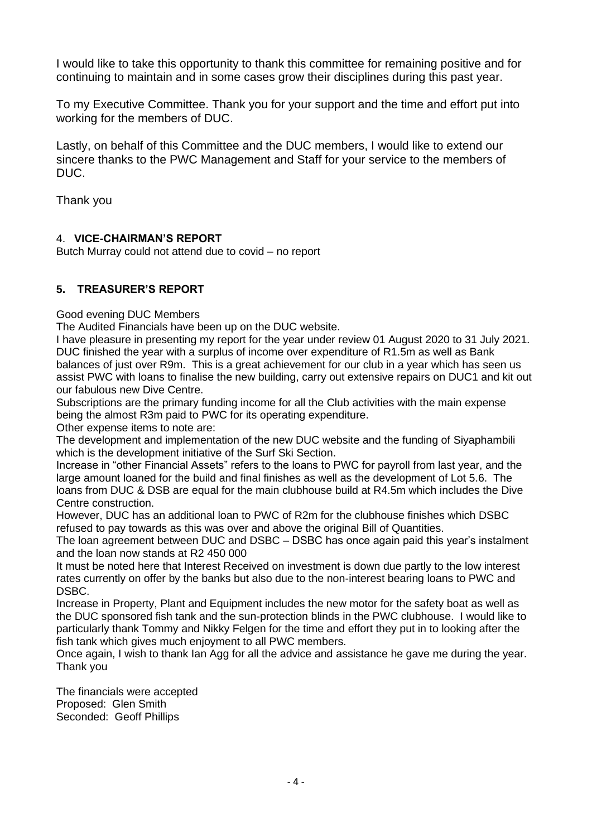I would like to take this opportunity to thank this committee for remaining positive and for continuing to maintain and in some cases grow their disciplines during this past year.

To my Executive Committee. Thank you for your support and the time and effort put into working for the members of DUC.

Lastly, on behalf of this Committee and the DUC members, I would like to extend our sincere thanks to the PWC Management and Staff for your service to the members of DUC.

Thank you

# 4. **VICE-CHAIRMAN'S REPORT**

Butch Murray could not attend due to covid – no report

# **5. TREASURER'S REPORT**

Good evening DUC Members

The Audited Financials have been up on the DUC website.

I have pleasure in presenting my report for the year under review 01 August 2020 to 31 July 2021. DUC finished the year with a surplus of income over expenditure of R1.5m as well as Bank balances of just over R9m. This is a great achievement for our club in a year which has seen us assist PWC with loans to finalise the new building, carry out extensive repairs on DUC1 and kit out our fabulous new Dive Centre.

Subscriptions are the primary funding income for all the Club activities with the main expense being the almost R3m paid to PWC for its operating expenditure.

Other expense items to note are:

The development and implementation of the new DUC website and the funding of Siyaphambili which is the development initiative of the Surf Ski Section.

Increase in "other Financial Assets" refers to the loans to PWC for payroll from last year, and the large amount loaned for the build and final finishes as well as the development of Lot 5.6. The loans from DUC & DSB are equal for the main clubhouse build at R4.5m which includes the Dive Centre construction.

However, DUC has an additional loan to PWC of R2m for the clubhouse finishes which DSBC refused to pay towards as this was over and above the original Bill of Quantities.

The loan agreement between DUC and DSBC – DSBC has once again paid this year's instalment and the loan now stands at R2 450 000

It must be noted here that Interest Received on investment is down due partly to the low interest rates currently on offer by the banks but also due to the non-interest bearing loans to PWC and DSBC.

Increase in Property, Plant and Equipment includes the new motor for the safety boat as well as the DUC sponsored fish tank and the sun-protection blinds in the PWC clubhouse. I would like to particularly thank Tommy and Nikky Felgen for the time and effort they put in to looking after the fish tank which gives much enjoyment to all PWC members.

Once again, I wish to thank Ian Agg for all the advice and assistance he gave me during the year. Thank you

The financials were accepted Proposed: Glen Smith Seconded: Geoff Phillips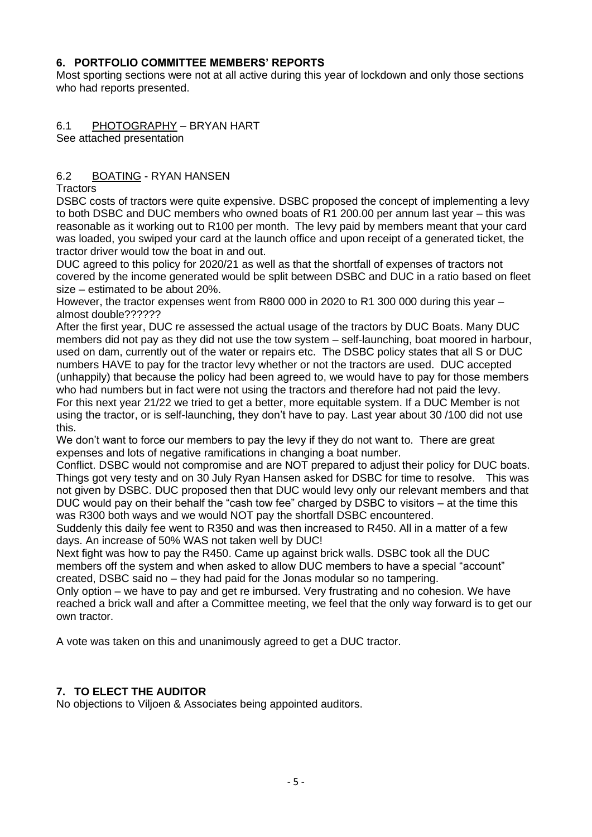# **6. PORTFOLIO COMMITTEE MEMBERS' REPORTS**

Most sporting sections were not at all active during this year of lockdown and only those sections who had reports presented.

# 6.1 PHOTOGRAPHY – BRYAN HART

See attached presentation

# 6.2 BOATING - RYAN HANSEN

**Tractors** 

DSBC costs of tractors were quite expensive. DSBC proposed the concept of implementing a levy to both DSBC and DUC members who owned boats of R1 200.00 per annum last year – this was reasonable as it working out to R100 per month. The levy paid by members meant that your card was loaded, you swiped your card at the launch office and upon receipt of a generated ticket, the tractor driver would tow the boat in and out.

DUC agreed to this policy for 2020/21 as well as that the shortfall of expenses of tractors not covered by the income generated would be split between DSBC and DUC in a ratio based on fleet size – estimated to be about 20%.

However, the tractor expenses went from R800 000 in 2020 to R1 300 000 during this year – almost double??????

After the first year, DUC re assessed the actual usage of the tractors by DUC Boats. Many DUC members did not pay as they did not use the tow system – self-launching, boat moored in harbour, used on dam, currently out of the water or repairs etc. The DSBC policy states that all S or DUC numbers HAVE to pay for the tractor levy whether or not the tractors are used. DUC accepted (unhappily) that because the policy had been agreed to, we would have to pay for those members who had numbers but in fact were not using the tractors and therefore had not paid the levy. For this next year 21/22 we tried to get a better, more equitable system. If a DUC Member is not using the tractor, or is self-launching, they don't have to pay. Last year about 30 /100 did not use this.

We don't want to force our members to pay the levy if they do not want to. There are great expenses and lots of negative ramifications in changing a boat number.

Conflict. DSBC would not compromise and are NOT prepared to adjust their policy for DUC boats. Things got very testy and on 30 July Ryan Hansen asked for DSBC for time to resolve. This was not given by DSBC. DUC proposed then that DUC would levy only our relevant members and that DUC would pay on their behalf the "cash tow fee" charged by DSBC to visitors – at the time this was R300 both ways and we would NOT pay the shortfall DSBC encountered.

Suddenly this daily fee went to R350 and was then increased to R450. All in a matter of a few days. An increase of 50% WAS not taken well by DUC!

Next fight was how to pay the R450. Came up against brick walls. DSBC took all the DUC members off the system and when asked to allow DUC members to have a special "account" created, DSBC said no – they had paid for the Jonas modular so no tampering.

Only option – we have to pay and get re imbursed. Very frustrating and no cohesion. We have reached a brick wall and after a Committee meeting, we feel that the only way forward is to get our own tractor.

A vote was taken on this and unanimously agreed to get a DUC tractor.

# **7. TO ELECT THE AUDITOR**

No objections to Viljoen & Associates being appointed auditors.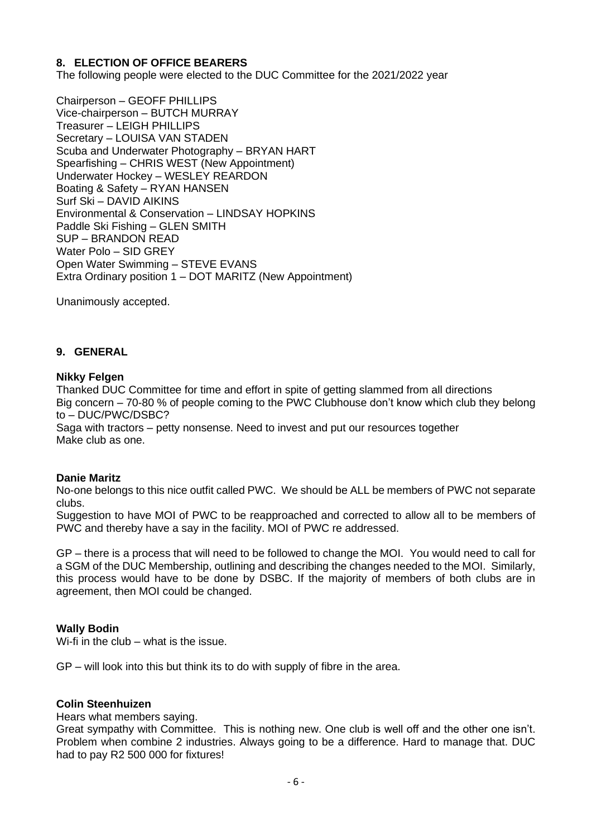## **8. ELECTION OF OFFICE BEARERS**

The following people were elected to the DUC Committee for the 2021/2022 year

Chairperson – GEOFF PHILLIPS Vice-chairperson – BUTCH MURRAY Treasurer – LEIGH PHILLIPS Secretary – LOUISA VAN STADEN Scuba and Underwater Photography – BRYAN HART Spearfishing – CHRIS WEST (New Appointment) Underwater Hockey – WESLEY REARDON Boating & Safety – RYAN HANSEN Surf Ski – DAVID AIKINS Environmental & Conservation – LINDSAY HOPKINS Paddle Ski Fishing – GLEN SMITH SUP – BRANDON READ Water Polo – SID GREY Open Water Swimming – STEVE EVANS Extra Ordinary position 1 – DOT MARITZ (New Appointment)

Unanimously accepted.

### **9. GENERAL**

### **Nikky Felgen**

Thanked DUC Committee for time and effort in spite of getting slammed from all directions Big concern – 70-80 % of people coming to the PWC Clubhouse don't know which club they belong to – DUC/PWC/DSBC?

Saga with tractors – petty nonsense. Need to invest and put our resources together Make club as one.

### **Danie Maritz**

No-one belongs to this nice outfit called PWC. We should be ALL be members of PWC not separate clubs.

Suggestion to have MOI of PWC to be reapproached and corrected to allow all to be members of PWC and thereby have a say in the facility. MOI of PWC re addressed.

GP – there is a process that will need to be followed to change the MOI. You would need to call for a SGM of the DUC Membership, outlining and describing the changes needed to the MOI. Similarly, this process would have to be done by DSBC. If the majority of members of both clubs are in agreement, then MOI could be changed.

### **Wally Bodin**

Wi-fi in the club – what is the issue.

GP – will look into this but think its to do with supply of fibre in the area.

### **Colin Steenhuizen**

Hears what members saying.

Great sympathy with Committee. This is nothing new. One club is well off and the other one isn't. Problem when combine 2 industries. Always going to be a difference. Hard to manage that. DUC had to pay R2 500 000 for fixtures!